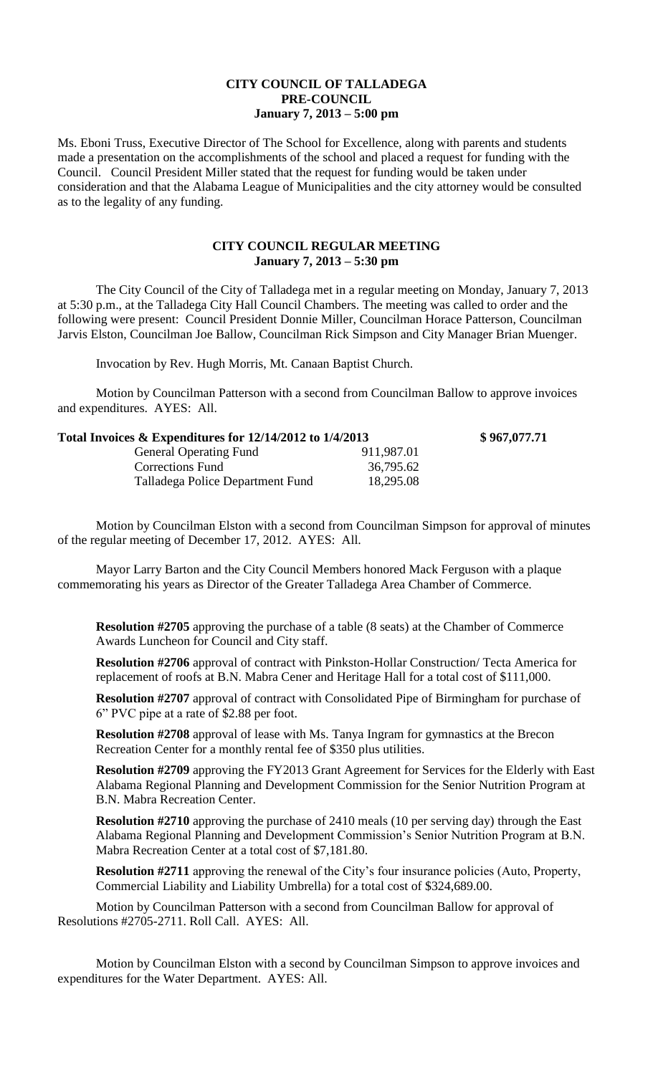## **CITY COUNCIL OF TALLADEGA PRE-COUNCIL January 7, 2013 – 5:00 pm**

Ms. Eboni Truss, Executive Director of The School for Excellence, along with parents and students made a presentation on the accomplishments of the school and placed a request for funding with the Council. Council President Miller stated that the request for funding would be taken under consideration and that the Alabama League of Municipalities and the city attorney would be consulted as to the legality of any funding.

## **CITY COUNCIL REGULAR MEETING January 7, 2013 – 5:30 pm**

The City Council of the City of Talladega met in a regular meeting on Monday, January 7, 2013 at 5:30 p.m., at the Talladega City Hall Council Chambers. The meeting was called to order and the following were present: Council President Donnie Miller, Councilman Horace Patterson, Councilman Jarvis Elston, Councilman Joe Ballow, Councilman Rick Simpson and City Manager Brian Muenger.

Invocation by Rev. Hugh Morris, Mt. Canaan Baptist Church.

Motion by Councilman Patterson with a second from Councilman Ballow to approve invoices and expenditures. AYES: All.

| Total Invoices & Expenditures for 12/14/2012 to 1/4/2013 |            | \$967,077.71 |
|----------------------------------------------------------|------------|--------------|
| <b>General Operating Fund</b>                            | 911,987.01 |              |
| <b>Corrections Fund</b>                                  | 36,795.62  |              |
| Talladega Police Department Fund                         | 18,295.08  |              |

Motion by Councilman Elston with a second from Councilman Simpson for approval of minutes of the regular meeting of December 17, 2012. AYES: All.

Mayor Larry Barton and the City Council Members honored Mack Ferguson with a plaque commemorating his years as Director of the Greater Talladega Area Chamber of Commerce.

**Resolution #2705** approving the purchase of a table (8 seats) at the Chamber of Commerce Awards Luncheon for Council and City staff.

**Resolution #2706** approval of contract with Pinkston-Hollar Construction/ Tecta America for replacement of roofs at B.N. Mabra Cener and Heritage Hall for a total cost of \$111,000.

**Resolution #2707** approval of contract with Consolidated Pipe of Birmingham for purchase of 6" PVC pipe at a rate of \$2.88 per foot.

**Resolution #2708** approval of lease with Ms. Tanya Ingram for gymnastics at the Brecon Recreation Center for a monthly rental fee of \$350 plus utilities.

**Resolution #2709** approving the FY2013 Grant Agreement for Services for the Elderly with East Alabama Regional Planning and Development Commission for the Senior Nutrition Program at B.N. Mabra Recreation Center.

**Resolution #2710** approving the purchase of 2410 meals (10 per serving day) through the East Alabama Regional Planning and Development Commission's Senior Nutrition Program at B.N. Mabra Recreation Center at a total cost of \$7,181.80.

**Resolution #2711** approving the renewal of the City's four insurance policies (Auto, Property, Commercial Liability and Liability Umbrella) for a total cost of \$324,689.00.

Motion by Councilman Patterson with a second from Councilman Ballow for approval of Resolutions #2705-2711. Roll Call. AYES: All.

Motion by Councilman Elston with a second by Councilman Simpson to approve invoices and expenditures for the Water Department. AYES: All.